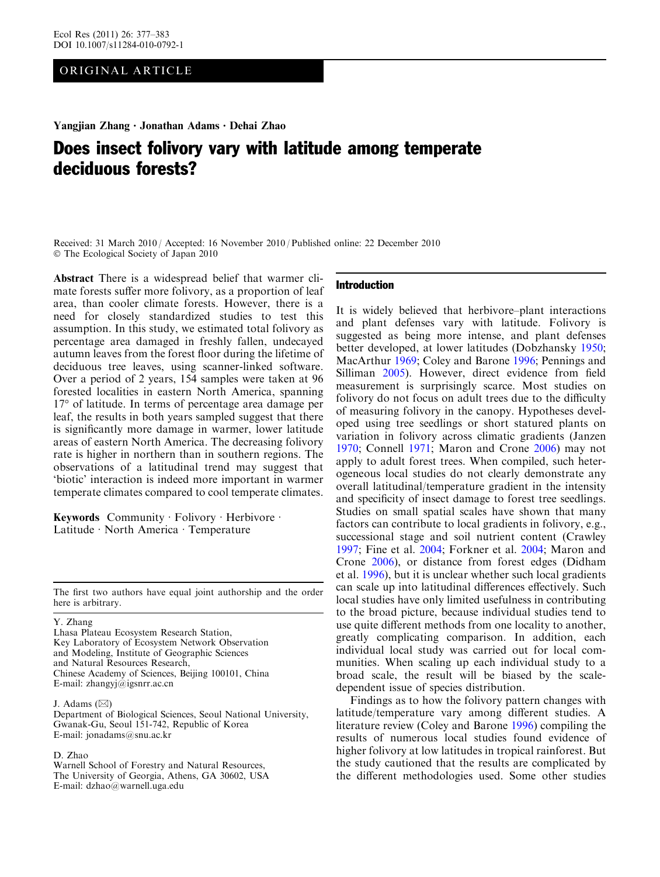# ORIGINAL ARTICLE

Yangjian Zhang • Jonathan Adams • Dehai Zhao

# Does insect folivory vary with latitude among temperate deciduous forests?

Received: 31 March 2010 / Accepted: 16 November 2010 / Published online: 22 December 2010 - The Ecological Society of Japan 2010

Abstract There is a widespread belief that warmer climate forests suffer more folivory, as a proportion of leaf area, than cooler climate forests. However, there is a need for closely standardized studies to test this assumption. In this study, we estimated total folivory as percentage area damaged in freshly fallen, undecayed autumn leaves from the forest floor during the lifetime of deciduous tree leaves, using scanner-linked software. Over a period of 2 years, 154 samples were taken at 96 forested localities in eastern North America, spanning 17° of latitude. In terms of percentage area damage per leaf, the results in both years sampled suggest that there is significantly more damage in warmer, lower latitude areas of eastern North America. The decreasing folivory rate is higher in northern than in southern regions. The observations of a latitudinal trend may suggest that 'biotic' interaction is indeed more important in warmer temperate climates compared to cool temperate climates.

Keywords Community · Folivory · Herbivore · Latitude · North America · Temperature

The first two authors have equal joint authorship and the order here is arbitrary.

Y. Zhang

Lhasa Plateau Ecosystem Research Station, Key Laboratory of Ecosystem Network Observation and Modeling, Institute of Geographic Sciences and Natural Resources Research, Chinese Academy of Sciences, Beijing 100101, China E-mail: zhangyj@igsnrr.ac.cn

J. Adams  $(\boxtimes)$ 

Department of Biological Sciences, Seoul National University, Gwanak-Gu, Seoul 151-742, Republic of Korea E-mail: jonadams@snu.ac.kr

## D. Zhao

Warnell School of Forestry and Natural Resources, The University of Georgia, Athens, GA 30602, USA E-mail: dzhao@warnell.uga.edu

#### Introduction

It is widely believed that herbivore–plant interactions and plant defenses vary with latitude. Folivory is suggested as being more intense, and plant defenses better developed, at lower latitudes (Dobzhansky [1950](#page-5-0); MacArthur [1969](#page-6-0); Coley and Barone [1996](#page-5-0); Pennings and Silliman [2005\)](#page-6-0). However, direct evidence from field measurement is surprisingly scarce. Most studies on folivory do not focus on adult trees due to the difficulty of measuring folivory in the canopy. Hypotheses developed using tree seedlings or short statured plants on variation in folivory across climatic gradients (Janzen [1970;](#page-6-0) Connell [1971](#page-5-0); Maron and Crone [2006](#page-6-0)) may not apply to adult forest trees. When compiled, such heterogeneous local studies do not clearly demonstrate any overall latitudinal/temperature gradient in the intensity and specificity of insect damage to forest tree seedlings. Studies on small spatial scales have shown that many factors can contribute to local gradients in folivory, e.g., successional stage and soil nutrient content (Crawley [1997;](#page-5-0) Fine et al. [2004](#page-5-0); Forkner et al. [2004;](#page-6-0) Maron and Crone [2006\)](#page-6-0), or distance from forest edges (Didham et al. [1996](#page-5-0)), but it is unclear whether such local gradients can scale up into latitudinal differences effectively. Such local studies have only limited usefulness in contributing to the broad picture, because individual studies tend to use quite different methods from one locality to another, greatly complicating comparison. In addition, each individual local study was carried out for local communities. When scaling up each individual study to a broad scale, the result will be biased by the scaledependent issue of species distribution.

Findings as to how the folivory pattern changes with latitude/temperature vary among different studies. A literature review (Coley and Barone [1996\)](#page-5-0) compiling the results of numerous local studies found evidence of higher folivory at low latitudes in tropical rainforest. But the study cautioned that the results are complicated by the different methodologies used. Some other studies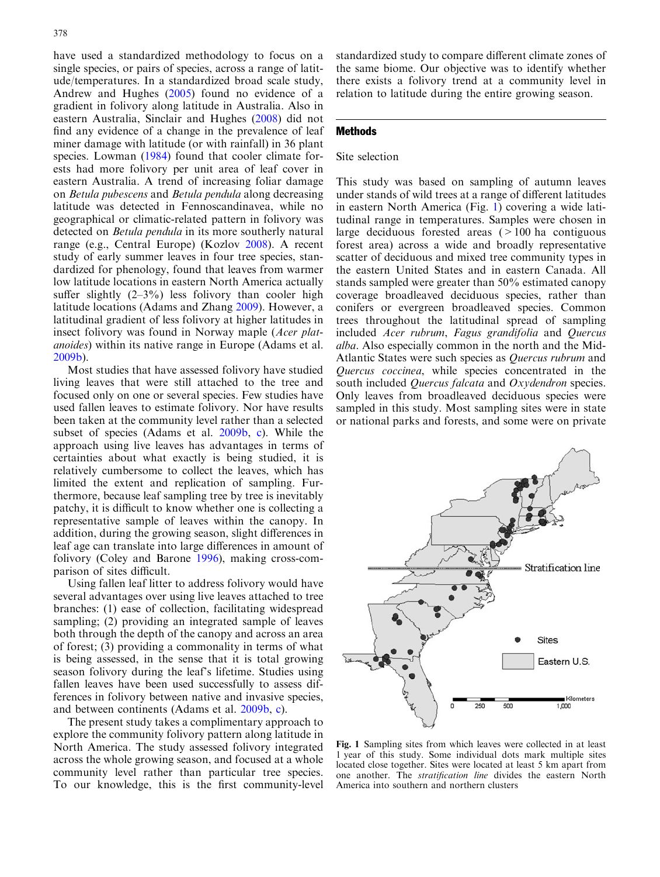<span id="page-1-0"></span>have used a standardized methodology to focus on a single species, or pairs of species, across a range of latitude/temperatures. In a standardized broad scale study, Andrew and Hughes [\(2005\)](#page-5-0) found no evidence of a gradient in folivory along latitude in Australia. Also in eastern Australia, Sinclair and Hughes ([2008\)](#page-6-0) did not find any evidence of a change in the prevalence of leaf miner damage with latitude (or with rainfall) in 36 plant species. Lowman ([1984\)](#page-6-0) found that cooler climate forests had more folivory per unit area of leaf cover in eastern Australia. A trend of increasing foliar damage on Betula pubescens and Betula pendula along decreasing latitude was detected in Fennoscandinavea, while no geographical or climatic-related pattern in folivory was detected on Betula pendula in its more southerly natural range (e.g., Central Europe) (Kozlov [2008\)](#page-6-0). A recent study of early summer leaves in four tree species, standardized for phenology, found that leaves from warmer low latitude locations in eastern North America actually suffer slightly  $(2-3\%)$  less folivory than cooler high latitude locations (Adams and Zhang [2009](#page-5-0)). However, a latitudinal gradient of less folivory at higher latitudes in insect folivory was found in Norway maple (Acer platanoides) within its native range in Europe (Adams et al. [2009b](#page-5-0)).

Most studies that have assessed folivory have studied living leaves that were still attached to the tree and focused only on one or several species. Few studies have used fallen leaves to estimate folivory. Nor have results been taken at the community level rather than a selected subset of species (Adams et al. [2009b,](#page-5-0) [c](#page-5-0)). While the approach using live leaves has advantages in terms of certainties about what exactly is being studied, it is relatively cumbersome to collect the leaves, which has limited the extent and replication of sampling. Furthermore, because leaf sampling tree by tree is inevitably patchy, it is difficult to know whether one is collecting a representative sample of leaves within the canopy. In addition, during the growing season, slight differences in leaf age can translate into large differences in amount of folivory (Coley and Barone [1996](#page-5-0)), making cross-comparison of sites difficult.

Using fallen leaf litter to address folivory would have several advantages over using live leaves attached to tree branches: (1) ease of collection, facilitating widespread sampling; (2) providing an integrated sample of leaves both through the depth of the canopy and across an area of forest; (3) providing a commonality in terms of what is being assessed, in the sense that it is total growing season folivory during the leaf's lifetime. Studies using fallen leaves have been used successfully to assess differences in folivory between native and invasive species, and between continents (Adams et al. [2009b](#page-5-0), [c\)](#page-5-0).

The present study takes a complimentary approach to explore the community folivory pattern along latitude in North America. The study assessed folivory integrated across the whole growing season, and focused at a whole community level rather than particular tree species. To our knowledge, this is the first community-level

standardized study to compare different climate zones of the same biome. Our objective was to identify whether there exists a folivory trend at a community level in relation to latitude during the entire growing season.

# **Methods**

## Site selection

This study was based on sampling of autumn leaves under stands of wild trees at a range of different latitudes in eastern North America (Fig. 1) covering a wide latitudinal range in temperatures. Samples were chosen in large deciduous forested areas  $(>100$  ha contiguous forest area) across a wide and broadly representative scatter of deciduous and mixed tree community types in the eastern United States and in eastern Canada. All stands sampled were greater than 50% estimated canopy coverage broadleaved deciduous species, rather than conifers or evergreen broadleaved species. Common trees throughout the latitudinal spread of sampling included Acer rubrum, Fagus grandifolia and Quercus alba. Also especially common in the north and the Mid-Atlantic States were such species as Quercus rubrum and Quercus coccinea, while species concentrated in the south included *Quercus falcata* and *Oxydendron* species. Only leaves from broadleaved deciduous species were sampled in this study. Most sampling sites were in state or national parks and forests, and some were on private



Fig. 1 Sampling sites from which leaves were collected in at least 1 year of this study. Some individual dots mark multiple sites located close together. Sites were located at least 5 km apart from one another. The stratification line divides the eastern North America into southern and northern clusters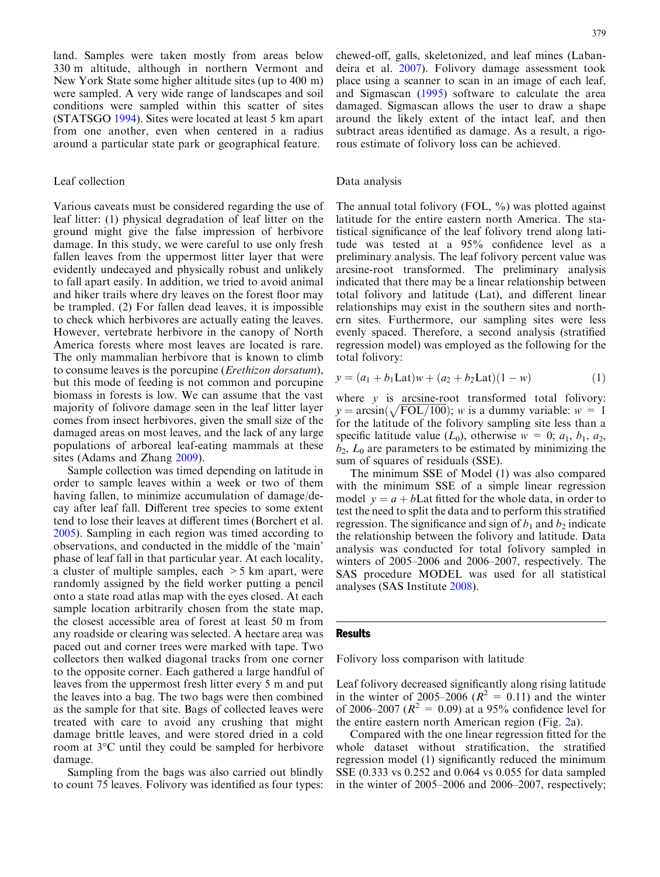land. Samples were taken mostly from areas below 330 m altitude, although in northern Vermont and New York State some higher altitude sites (up to 400 m) were sampled. A very wide range of landscapes and soil conditions were sampled within this scatter of sites (STATSGO [1994](#page-6-0)). Sites were located at least 5 km apart from one another, even when centered in a radius around a particular state park or geographical feature.

# Leaf collection

Various caveats must be considered regarding the use of leaf litter: (1) physical degradation of leaf litter on the ground might give the false impression of herbivore damage. In this study, we were careful to use only fresh fallen leaves from the uppermost litter layer that were evidently undecayed and physically robust and unlikely to fall apart easily. In addition, we tried to avoid animal and hiker trails where dry leaves on the forest floor may be trampled. (2) For fallen dead leaves, it is impossible to check which herbivores are actually eating the leaves. However, vertebrate herbivore in the canopy of North America forests where most leaves are located is rare. The only mammalian herbivore that is known to climb to consume leaves is the porcupine (Erethizon dorsatum), but this mode of feeding is not common and porcupine biomass in forests is low. We can assume that the vast majority of folivore damage seen in the leaf litter layer comes from insect herbivores, given the small size of the damaged areas on most leaves, and the lack of any large populations of arboreal leaf-eating mammals at these sites (Adams and Zhang [2009\)](#page-5-0).

Sample collection was timed depending on latitude in order to sample leaves within a week or two of them having fallen, to minimize accumulation of damage/decay after leaf fall. Different tree species to some extent tend to lose their leaves at different times (Borchert et al. [2005](#page-5-0)). Sampling in each region was timed according to observations, and conducted in the middle of the 'main' phase of leaf fall in that particular year. At each locality, a cluster of multiple samples, each  $>5$  km apart, were randomly assigned by the field worker putting a pencil onto a state road atlas map with the eyes closed. At each sample location arbitrarily chosen from the state map, the closest accessible area of forest at least 50 m from any roadside or clearing was selected. A hectare area was paced out and corner trees were marked with tape. Two collectors then walked diagonal tracks from one corner to the opposite corner. Each gathered a large handful of leaves from the uppermost fresh litter every 5 m and put the leaves into a bag. The two bags were then combined as the sample for that site. Bags of collected leaves were treated with care to avoid any crushing that might damage brittle leaves, and were stored dried in a cold room at 3<sup>o</sup>C until they could be sampled for herbivore damage.

Sampling from the bags was also carried out blindly to count 75 leaves. Folivory was identified as four types: chewed-off, galls, skeletonized, and leaf mines (Labandeira et al. [2007](#page-6-0)). Folivory damage assessment took place using a scanner to scan in an image of each leaf, and Sigmascan ([1995](#page-6-0)) software to calculate the area damaged. Sigmascan allows the user to draw a shape around the likely extent of the intact leaf, and then subtract areas identified as damage. As a result, a rigorous estimate of folivory loss can be achieved.

## Data analysis

The annual total folivory (FOL,  $\%$ ) was plotted against latitude for the entire eastern north America. The statistical significance of the leaf folivory trend along latitude was tested at a 95% confidence level as a preliminary analysis. The leaf folivory percent value was arcsine-root transformed. The preliminary analysis indicated that there may be a linear relationship between total folivory and latitude (Lat), and different linear relationships may exist in the southern sites and northern sites. Furthermore, our sampling sites were less evenly spaced. Therefore, a second analysis (stratified regression model) was employed as the following for the total folivory:

$$
y = (a_1 + b_1 \text{Lat})w + (a_2 + b_2 \text{Lat})(1 - w) \tag{1}
$$

where  $y$  is arcsine-root transformed total folivory: where y is arcsine-root transformed total follvoly.<br> $y = \arcsin(\sqrt{FOL/100})$ ; w is a dummy variable:  $w = 1$ for the latitude of the folivory sampling site less than a specific latitude value  $(L_0)$ , otherwise  $w = 0$ ;  $a_1, b_1, a_2$ ,  $b_2$ ,  $L_0$  are parameters to be estimated by minimizing the sum of squares of residuals (SSE).

The minimum SSE of Model (1) was also compared with the minimum SSE of a simple linear regression model  $y = a + b$ Lat fitted for the whole data, in order to test the need to split the data and to perform this stratified regression. The significance and sign of  $b_1$  and  $b_2$  indicate the relationship between the folivory and latitude. Data analysis was conducted for total folivory sampled in winters of 2005–2006 and 2006–2007, respectively. The SAS procedure MODEL was used for all statistical analyses (SAS Institute [2008](#page-6-0)).

#### **Results**

Folivory loss comparison with latitude

Leaf folivory decreased significantly along rising latitude in the winter of 2005–2006 ( $R^2 = 0.11$ ) and the winter of 2006–2007 ( $R^2 = 0.09$ ) at a 95% confidence level for the entire eastern north American region (Fig. [2](#page-3-0)a).

Compared with the one linear regression fitted for the whole dataset without stratification, the stratified regression model (1) significantly reduced the minimum SSE (0.333 vs 0.252 and 0.064 vs 0.055 for data sampled in the winter of 2005–2006 and 2006–2007, respectively;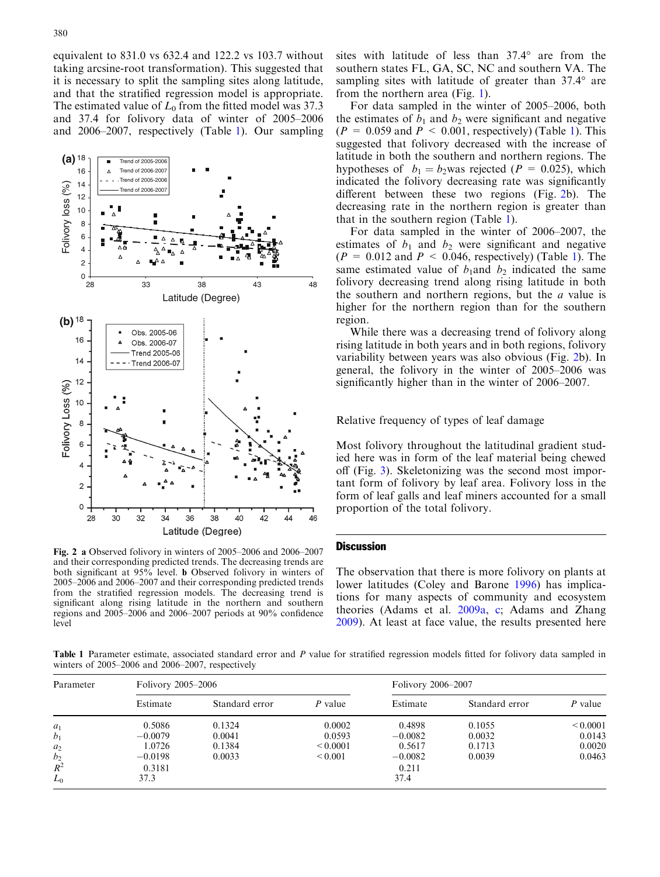<span id="page-3-0"></span>equivalent to 831.0 vs 632.4 and 122.2 vs 103.7 without taking arcsine-root transformation). This suggested that it is necessary to split the sampling sites along latitude, and that the stratified regression model is appropriate. The estimated value of  $L_0$  from the fitted model was 37.3 and 37.4 for folivory data of winter of 2005–2006 and 2006–2007, respectively (Table 1). Our sampling



Fig. 2 a Observed folivory in winters of 2005–2006 and 2006–2007 and their corresponding predicted trends. The decreasing trends are both significant at 95% level. b Observed folivory in winters of 2005–2006 and 2006–2007 and their corresponding predicted trends from the stratified regression models. The decreasing trend is significant along rising latitude in the northern and southern regions and 2005–2006 and 2006–2007 periods at 90% confidence level

sites with latitude of less than  $37.4^{\circ}$  are from the southern states FL, GA, SC, NC and southern VA. The sampling sites with latitude of greater than  $37.4^\circ$  are from the northern area (Fig. [1](#page-1-0)).

For data sampled in the winter of 2005–2006, both the estimates of  $b_1$  and  $b_2$  were significant and negative  $(P = 0.059$  and  $P < 0.001$ , respectively) (Table 1). This suggested that folivory decreased with the increase of latitude in both the southern and northern regions. The hypotheses of  $b_1 = b_2$ was rejected (P = 0.025), which indicated the folivory decreasing rate was significantly different between these two regions (Fig. 2b). The decreasing rate in the northern region is greater than that in the southern region (Table 1).

For data sampled in the winter of 2006–2007, the estimates of  $b_1$  and  $b_2$  were significant and negative  $(P = 0.012$  and  $P < 0.046$ , respectively) (Table 1). The same estimated value of  $b_1$ and  $b_2$  indicated the same folivory decreasing trend along rising latitude in both the southern and northern regions, but the a value is higher for the northern region than for the southern region.

While there was a decreasing trend of folivory along rising latitude in both years and in both regions, folivory variability between years was also obvious (Fig. 2b). In general, the folivory in the winter of 2005–2006 was significantly higher than in the winter of 2006–2007.

Relative frequency of types of leaf damage

Most folivory throughout the latitudinal gradient studied here was in form of the leaf material being chewed off (Fig. [3](#page-4-0)). Skeletonizing was the second most important form of folivory by leaf area. Folivory loss in the form of leaf galls and leaf miners accounted for a small proportion of the total folivory.

### **Discussion**

The observation that there is more folivory on plants at lower latitudes (Coley and Barone [1996](#page-5-0)) has implications for many aspects of community and ecosystem theories (Adams et al. [2009a,](#page-5-0) [c;](#page-5-0) Adams and Zhang [2009\)](#page-5-0). At least at face value, the results presented here

Table 1 Parameter estimate, associated standard error and P value for stratified regression models fitted for folivory data sampled in winters of 2005–2006 and 2006–2007, respectively

| Parameter         | Folivory 2005–2006 |                |               | Folivory 2006–2007 |                |               |
|-------------------|--------------------|----------------|---------------|--------------------|----------------|---------------|
|                   | Estimate           | Standard error | P value       | Estimate           | Standard error | P value       |
| $a_1$             | 0.5086             | 0.1324         | 0.0002        | 0.4898             | 0.1055         | ${}_{0.0001}$ |
| b <sub>1</sub>    | $-0.0079$          | 0.0041         | 0.0593        | $-0.0082$          | 0.0032         | 0.0143        |
| a <sub>2</sub>    | 1.0726             | 0.1384         | ${}_{0.0001}$ | 0.5617             | 0.1713         | 0.0020        |
|                   | $-0.0198$          | 0.0033         | ${}_{0.001}$  | $-0.0082$          | 0.0039         | 0.0463        |
| $\frac{b_2}{R^2}$ | 0.3181             |                |               | 0.211              |                |               |
| $L_0$             | 37.3               |                |               | 37.4               |                |               |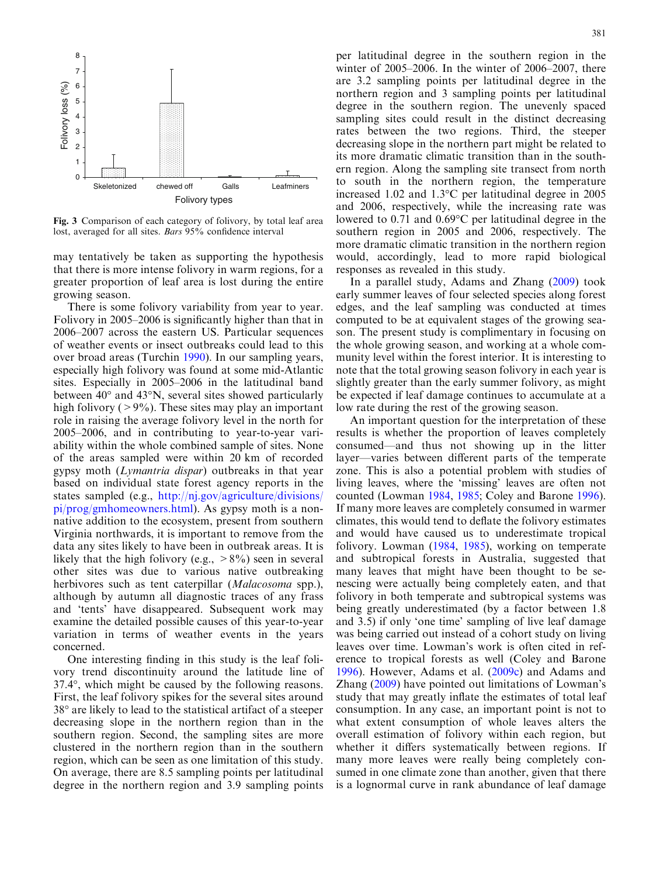<span id="page-4-0"></span>

Fig. 3 Comparison of each category of folivory, by total leaf area lost, averaged for all sites. Bars 95% confidence interval

may tentatively be taken as supporting the hypothesis that there is more intense folivory in warm regions, for a greater proportion of leaf area is lost during the entire growing season.

There is some folivory variability from year to year. Folivory in 2005–2006 is significantly higher than that in 2006–2007 across the eastern US. Particular sequences of weather events or insect outbreaks could lead to this over broad areas (Turchin [1990](#page-6-0)). In our sampling years, especially high folivory was found at some mid-Atlantic sites. Especially in 2005–2006 in the latitudinal band between  $40^{\circ}$  and  $43^{\circ}$ N, several sites showed particularly high folivory ( $>9\%$ ). These sites may play an important role in raising the average folivory level in the north for 2005–2006, and in contributing to year-to-year variability within the whole combined sample of sites. None of the areas sampled were within 20 km of recorded gypsy moth (Lymantria dispar) outbreaks in that year based on individual state forest agency reports in the states sampled (e.g., [http://nj.gov/agriculture/divisions/](http://nj.gov/agriculture/divisions/pi/prog/gmhomeowners.html) [pi/prog/gmhomeowners.html\)](http://nj.gov/agriculture/divisions/pi/prog/gmhomeowners.html). As gypsy moth is a nonnative addition to the ecosystem, present from southern Virginia northwards, it is important to remove from the data any sites likely to have been in outbreak areas. It is likely that the high folivory (e.g.,  $>8\%$ ) seen in several other sites was due to various native outbreaking herbivores such as tent caterpillar *(Malacosoma* spp.), although by autumn all diagnostic traces of any frass and 'tents' have disappeared. Subsequent work may examine the detailed possible causes of this year-to-year variation in terms of weather events in the years concerned.

One interesting finding in this study is the leaf folivory trend discontinuity around the latitude line of  $37.4^{\circ}$ , which might be caused by the following reasons. First, the leaf folivory spikes for the several sites around 38<sup>°</sup> are likely to lead to the statistical artifact of a steeper decreasing slope in the northern region than in the southern region. Second, the sampling sites are more clustered in the northern region than in the southern region, which can be seen as one limitation of this study. On average, there are 8.5 sampling points per latitudinal degree in the northern region and 3.9 sampling points

per latitudinal degree in the southern region in the winter of 2005–2006. In the winter of 2006–2007, there are 3.2 sampling points per latitudinal degree in the northern region and 3 sampling points per latitudinal degree in the southern region. The unevenly spaced sampling sites could result in the distinct decreasing rates between the two regions. Third, the steeper decreasing slope in the northern part might be related to its more dramatic climatic transition than in the southern region. Along the sampling site transect from north to south in the northern region, the temperature increased 1.02 and  $1.3^{\circ}$ C per latitudinal degree in 2005 and 2006, respectively, while the increasing rate was lowered to  $0.71$  and  $0.69^{\circ}$ C per latitudinal degree in the southern region in 2005 and 2006, respectively. The more dramatic climatic transition in the northern region would, accordingly, lead to more rapid biological responses as revealed in this study.

In a parallel study, Adams and Zhang ([2009](#page-5-0)) took early summer leaves of four selected species along forest edges, and the leaf sampling was conducted at times computed to be at equivalent stages of the growing season. The present study is complimentary in focusing on the whole growing season, and working at a whole community level within the forest interior. It is interesting to note that the total growing season folivory in each year is slightly greater than the early summer folivory, as might be expected if leaf damage continues to accumulate at a low rate during the rest of the growing season.

An important question for the interpretation of these results is whether the proportion of leaves completely consumed—and thus not showing up in the litter layer—varies between different parts of the temperate zone. This is also a potential problem with studies of living leaves, where the 'missing' leaves are often not counted (Lowman [1984,](#page-6-0) [1985;](#page-6-0) Coley and Barone [1996\)](#page-5-0). If many more leaves are completely consumed in warmer climates, this would tend to deflate the folivory estimates and would have caused us to underestimate tropical folivory. Lowman ([1984,](#page-6-0) [1985](#page-6-0)), working on temperate and subtropical forests in Australia, suggested that many leaves that might have been thought to be senescing were actually being completely eaten, and that folivory in both temperate and subtropical systems was being greatly underestimated (by a factor between 1.8 and 3.5) if only 'one time' sampling of live leaf damage was being carried out instead of a cohort study on living leaves over time. Lowman's work is often cited in reference to tropical forests as well (Coley and Barone [1996\)](#page-5-0). However, Adams et al. ([2009c\)](#page-5-0) and Adams and Zhang ([2009](#page-5-0)) have pointed out limitations of Lowman's study that may greatly inflate the estimates of total leaf consumption. In any case, an important point is not to what extent consumption of whole leaves alters the overall estimation of folivory within each region, but whether it differs systematically between regions. If many more leaves were really being completely consumed in one climate zone than another, given that there is a lognormal curve in rank abundance of leaf damage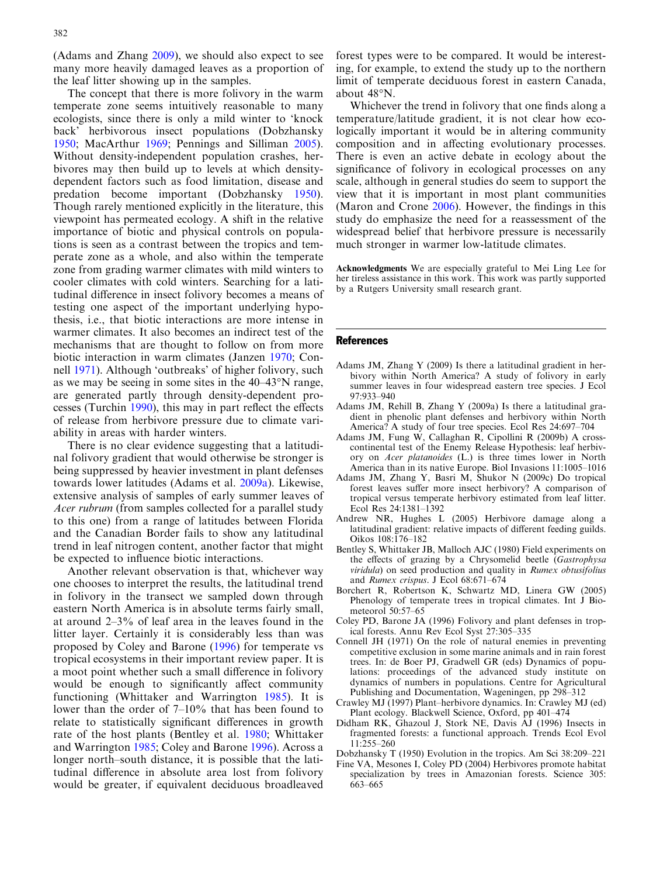<span id="page-5-0"></span>(Adams and Zhang 2009), we should also expect to see many more heavily damaged leaves as a proportion of the leaf litter showing up in the samples.

The concept that there is more folivory in the warm temperate zone seems intuitively reasonable to many ecologists, since there is only a mild winter to 'knock back' herbivorous insect populations (Dobzhansky 1950; MacArthur [1969](#page-6-0); Pennings and Silliman [2005\)](#page-6-0). Without density-independent population crashes, herbivores may then build up to levels at which densitydependent factors such as food limitation, disease and predation become important (Dobzhansky 1950). Though rarely mentioned explicitly in the literature, this viewpoint has permeated ecology. A shift in the relative importance of biotic and physical controls on populations is seen as a contrast between the tropics and temperate zone as a whole, and also within the temperate zone from grading warmer climates with mild winters to cooler climates with cold winters. Searching for a latitudinal difference in insect folivory becomes a means of testing one aspect of the important underlying hypothesis, i.e., that biotic interactions are more intense in warmer climates. It also becomes an indirect test of the mechanisms that are thought to follow on from more biotic interaction in warm climates (Janzen [1970;](#page-6-0) Connell 1971). Although 'outbreaks' of higher folivory, such as we may be seeing in some sites in the  $40-43^{\circ}$ N range, are generated partly through density-dependent processes (Turchin [1990\)](#page-6-0), this may in part reflect the effects of release from herbivore pressure due to climate variability in areas with harder winters.

There is no clear evidence suggesting that a latitudinal folivory gradient that would otherwise be stronger is being suppressed by heavier investment in plant defenses towards lower latitudes (Adams et al. 2009a). Likewise, extensive analysis of samples of early summer leaves of Acer rubrum (from samples collected for a parallel study to this one) from a range of latitudes between Florida and the Canadian Border fails to show any latitudinal trend in leaf nitrogen content, another factor that might be expected to influence biotic interactions.

Another relevant observation is that, whichever way one chooses to interpret the results, the latitudinal trend in folivory in the transect we sampled down through eastern North America is in absolute terms fairly small, at around 2–3% of leaf area in the leaves found in the litter layer. Certainly it is considerably less than was proposed by Coley and Barone (1996) for temperate vs tropical ecosystems in their important review paper. It is a moot point whether such a small difference in folivory would be enough to significantly affect community functioning (Whittaker and Warrington [1985\)](#page-6-0). It is lower than the order of 7–10% that has been found to relate to statistically significant differences in growth rate of the host plants (Bentley et al. 1980; Whittaker and Warrington [1985;](#page-6-0) Coley and Barone 1996). Across a longer north–south distance, it is possible that the latitudinal difference in absolute area lost from folivory would be greater, if equivalent deciduous broadleaved

forest types were to be compared. It would be interesting, for example, to extend the study up to the northern limit of temperate deciduous forest in eastern Canada, about  $48^\circ$ N.

Whichever the trend in folivory that one finds along a temperature/latitude gradient, it is not clear how ecologically important it would be in altering community composition and in affecting evolutionary processes. There is even an active debate in ecology about the significance of folivory in ecological processes on any scale, although in general studies do seem to support the view that it is important in most plant communities (Maron and Crone [2006\)](#page-6-0). However, the findings in this study do emphasize the need for a reassessment of the widespread belief that herbivore pressure is necessarily much stronger in warmer low-latitude climates.

Acknowledgments We are especially grateful to Mei Ling Lee for her tireless assistance in this work. This work was partly supported by a Rutgers University small research grant.

#### References

- Adams JM, Zhang Y (2009) Is there a latitudinal gradient in herbivory within North America? A study of folivory in early summer leaves in four widespread eastern tree species. J Ecol 97:933–940
- Adams JM, Rehill B, Zhang Y (2009a) Is there a latitudinal gradient in phenolic plant defenses and herbivory within North America? A study of four tree species. Ecol Res 24:697–704
- Adams JM, Fung W, Callaghan R, Cipollini R (2009b) A crosscontinental test of the Enemy Release Hypothesis: leaf herbivory on Acer platanoides (L.) is three times lower in North America than in its native Europe. Biol Invasions 11:1005–1016
- Adams JM, Zhang Y, Basri M, Shukor N (2009c) Do tropical forest leaves suffer more insect herbivory? A comparison of tropical versus temperate herbivory estimated from leaf litter. Ecol Res 24:1381–1392
- Andrew NR, Hughes L (2005) Herbivore damage along a latitudinal gradient: relative impacts of different feeding guilds. Oikos 108:176–182
- Bentley S, Whittaker JB, Malloch AJC (1980) Field experiments on the effects of grazing by a Chrysomelid beetle (Gastrophysa viridula) on seed production and quality in Rumex obtusifolius and Rumex crispus. J Ecol 68:671–674
- Borchert R, Robertson K, Schwartz MD, Linera GW (2005) Phenology of temperate trees in tropical climates. Int J Biometeorol 50:57–65
- Coley PD, Barone JA (1996) Folivory and plant defenses in tropical forests. Annu Rev Ecol Syst 27:305–335
- Connell JH (1971) On the role of natural enemies in preventing competitive exclusion in some marine animals and in rain forest trees. In: de Boer PJ, Gradwell GR (eds) Dynamics of populations: proceedings of the advanced study institute on dynamics of numbers in populations. Centre for Agricultural Publishing and Documentation, Wageningen, pp 298–312
- Crawley MJ (1997) Plant–herbivore dynamics. In: Crawley MJ (ed) Plant ecology. Blackwell Science, Oxford, pp 401–474
- Didham RK, Ghazoul J, Stork NE, Davis AJ (1996) Insects in fragmented forests: a functional approach. Trends Ecol Evol 11:255–260
- Dobzhansky T (1950) Evolution in the tropics. Am Sci 38:209–221
- Fine VA, Mesones I, Coley PD (2004) Herbivores promote habitat specialization by trees in Amazonian forests. Science 305: 663–665